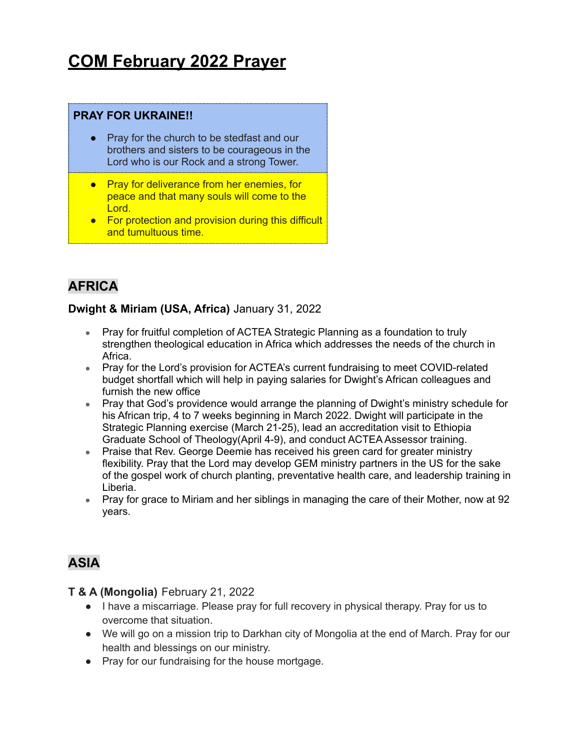# **COM February 2022 Prayer**

### **PRAY FOR UKRAINE!!**

- Pray for the church to be stedfast and our brothers and sisters to be courageous in the Lord who is our Rock and a strong Tower.
- Pray for deliverance from her enemies, for peace and that many souls will come to the Lord.
- For protection and provision during this difficult and tumultuous time.

# **AFRICA**

### **Dwight & Miriam (USA, Africa)** January 31, 2022

- Pray for fruitful completion of ACTEA Strategic Planning as a foundation to truly strengthen theological education in Africa which addresses the needs of the church in Africa.
- Pray for the Lord's provision for ACTEA's current fundraising to meet COVID-related budget shortfall which will help in paying salaries for Dwight's African colleagues and furnish the new office
- Pray that God's providence would arrange the planning of Dwight's ministry schedule for his African trip, 4 to 7 weeks beginning in March 2022. Dwight will participate in the Strategic Planning exercise (March 21-25), lead an accreditation visit to Ethiopia Graduate School of Theology(April 4-9), and conduct ACTEA Assessor training.
- Praise that Rev. George Deemie has received his green card for greater ministry flexibility. Pray that the Lord may develop GEM ministry partners in the US for the sake of the gospel work of church planting, preventative health care, and leadership training in Liberia.
- Pray for grace to Miriam and her siblings in managing the care of their Mother, now at 92 years.

# **ASIA**

### **T & A (Mongolia)** February 21, 2022

- I have a miscarriage. Please pray for full recovery in physical therapy. Pray for us to overcome that situation.
- We will go on a mission trip to Darkhan city of Mongolia at the end of March. Pray for our health and blessings on our ministry.
- Pray for our fundraising for the house mortgage.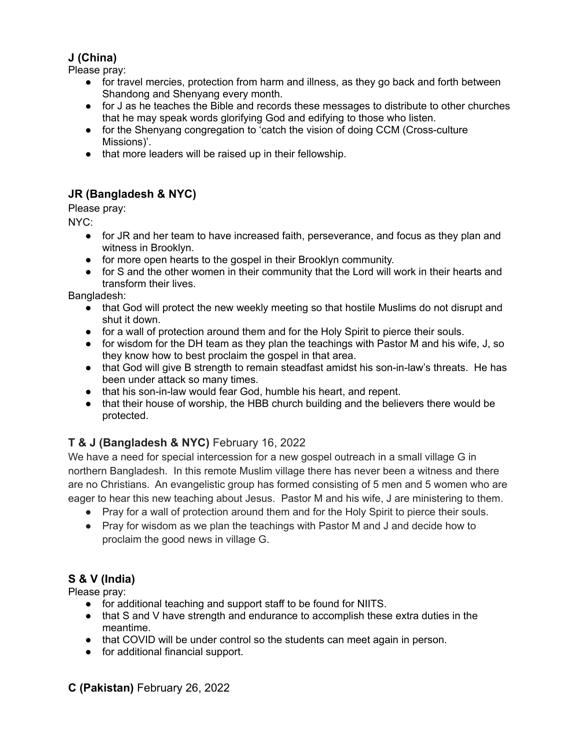### **J (China)**

Please pray:

- for travel mercies, protection from harm and illness, as they go back and forth between Shandong and Shenyang every month.
- for J as he teaches the Bible and records these messages to distribute to other churches that he may speak words glorifying God and edifying to those who listen.
- for the Shenyang congregation to 'catch the vision of doing CCM (Cross-culture Missions)'.
- that more leaders will be raised up in their fellowship.

# **JR (Bangladesh & NYC)**

Please pray:

NYC:

- for JR and her team to have increased faith, perseverance, and focus as they plan and witness in Brooklyn.
- for more open hearts to the gospel in their Brooklyn community.
- for S and the other women in their community that the Lord will work in their hearts and transform their lives.

Bangladesh:

- that God will protect the new weekly meeting so that hostile Muslims do not disrupt and shut it down.
- for a wall of protection around them and for the Holy Spirit to pierce their souls.
- for wisdom for the DH team as they plan the teachings with Pastor M and his wife, J, so they know how to best proclaim the gospel in that area.
- that God will give B strength to remain steadfast amidst his son-in-law's threats. He has been under attack so many times.
- that his son-in-law would fear God, humble his heart, and repent.
- that their house of worship, the HBB church building and the believers there would be protected.

# **T & J (Bangladesh & NYC)** February 16, 2022

We have a need for special intercession for a new gospel outreach in a small village G in northern Bangladesh. In this remote Muslim village there has never been a witness and there are no Christians. An evangelistic group has formed consisting of 5 men and 5 women who are eager to hear this new teaching about Jesus. Pastor M and his wife, J are ministering to them.

- Pray for a wall of protection around them and for the Holy Spirit to pierce their souls.
- Pray for wisdom as we plan the teachings with Pastor M and J and decide how to proclaim the good news in village G.

### **S & V (India)**

Please pray:

- for additional teaching and support staff to be found for NIITS.
- that S and V have strength and endurance to accomplish these extra duties in the meantime.
- that COVID will be under control so the students can meet again in person.
- for additional financial support.

**C (Pakistan)** February 26, 2022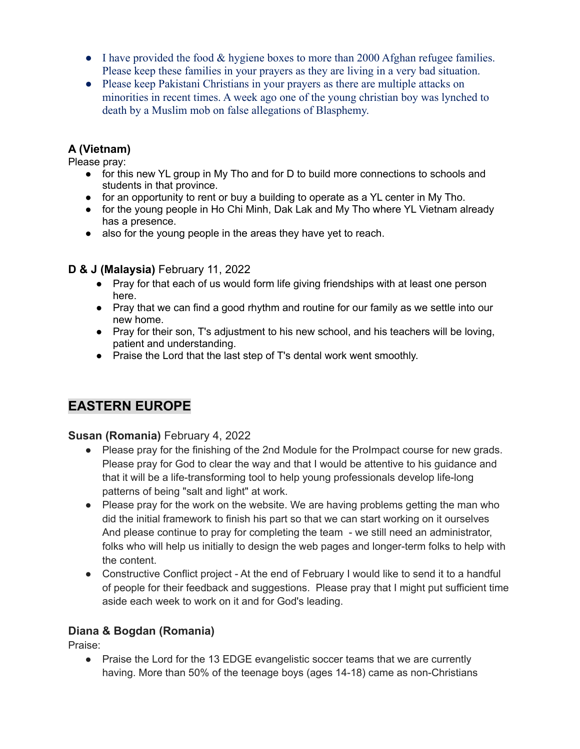- $\bullet$  I have provided the food & hygiene boxes to more than 2000 Afghan refugee families. Please keep these families in your prayers as they are living in a very bad situation.
- Please keep Pakistani Christians in your prayers as there are multiple attacks on minorities in recent times. A week ago one of the young christian boy was lynched to death by a Muslim mob on false allegations of Blasphemy.

### **A (Vietnam)**

Please pray:

- for this new YL group in My Tho and for D to build more connections to schools and students in that province.
- for an opportunity to rent or buy a building to operate as a YL center in My Tho.
- for the young people in Ho Chi Minh, Dak Lak and My Tho where YL Vietnam already has a presence.
- also for the young people in the areas they have yet to reach.

### **D & J (Malaysia)** February 11, 2022

- Pray for that each of us would form life giving friendships with at least one person here.
- Pray that we can find a good rhythm and routine for our family as we settle into our new home.
- Pray for their son, T's adjustment to his new school, and his teachers will be loving, patient and understanding.
- Praise the Lord that the last step of T's dental work went smoothly.

# **EASTERN EUROPE**

### **Susan (Romania)** February 4, 2022

- Please pray for the finishing of the 2nd Module for the ProImpact course for new grads. Please pray for God to clear the way and that I would be attentive to his guidance and that it will be a life-transforming tool to help young professionals develop life-long patterns of being "salt and light" at work.
- Please pray for the work on the website. We are having problems getting the man who did the initial framework to finish his part so that we can start working on it ourselves And please continue to pray for completing the team - we still need an administrator, folks who will help us initially to design the web pages and longer-term folks to help with the content.
- Constructive Conflict project At the end of February I would like to send it to a handful of people for their feedback and suggestions. Please pray that I might put sufficient time aside each week to work on it and for God's leading.

### **Diana & Bogdan (Romania)**

Praise:

• Praise the Lord for the 13 EDGE evangelistic soccer teams that we are currently having. More than 50% of the teenage boys (ages 14-18) came as non-Christians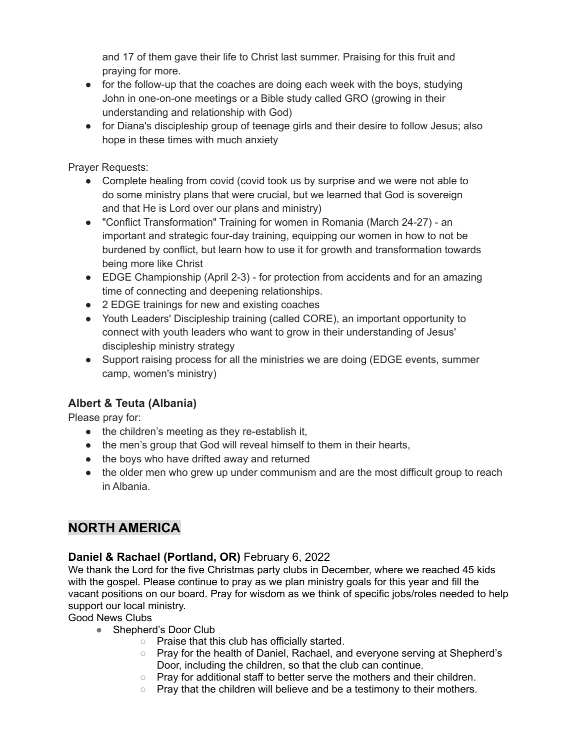and 17 of them gave their life to Christ last summer. Praising for this fruit and praying for more.

- for the follow-up that the coaches are doing each week with the boys, studying John in one-on-one meetings or a Bible study called GRO (growing in their understanding and relationship with God)
- for Diana's discipleship group of teenage girls and their desire to follow Jesus; also hope in these times with much anxiety

Prayer Requests:

- Complete healing from covid (covid took us by surprise and we were not able to do some ministry plans that were crucial, but we learned that God is sovereign and that He is Lord over our plans and ministry)
- "Conflict Transformation" Training for women in Romania (March 24-27) an important and strategic four-day training, equipping our women in how to not be burdened by conflict, but learn how to use it for growth and transformation towards being more like Christ
- EDGE Championship (April 2-3) for protection from accidents and for an amazing time of connecting and deepening relationships.
- 2 EDGE trainings for new and existing coaches
- Youth Leaders' Discipleship training (called CORE), an important opportunity to connect with youth leaders who want to grow in their understanding of Jesus' discipleship ministry strategy
- Support raising process for all the ministries we are doing (EDGE events, summer camp, women's ministry)

### **Albert & Teuta (Albania)**

Please pray for:

- the children's meeting as they re-establish it,
- the men's group that God will reveal himself to them in their hearts,
- the boys who have drifted away and returned
- the older men who grew up under communism and are the most difficult group to reach in Albania.

# **NORTH AMERICA**

### **Daniel & Rachael (Portland, OR)** February 6, 2022

We thank the Lord for the five Christmas party clubs in December, where we reached 45 kids with the gospel. Please continue to pray as we plan ministry goals for this year and fill the vacant positions on our board. Pray for wisdom as we think of specific jobs/roles needed to help support our local ministry.

Good News Clubs

- Shepherd's Door Club
	- Praise that this club has officially started.
	- Pray for the health of Daniel, Rachael, and everyone serving at Shepherd's Door, including the children, so that the club can continue.
	- Pray for additional staff to better serve the mothers and their children.
	- Pray that the children will believe and be a testimony to their mothers.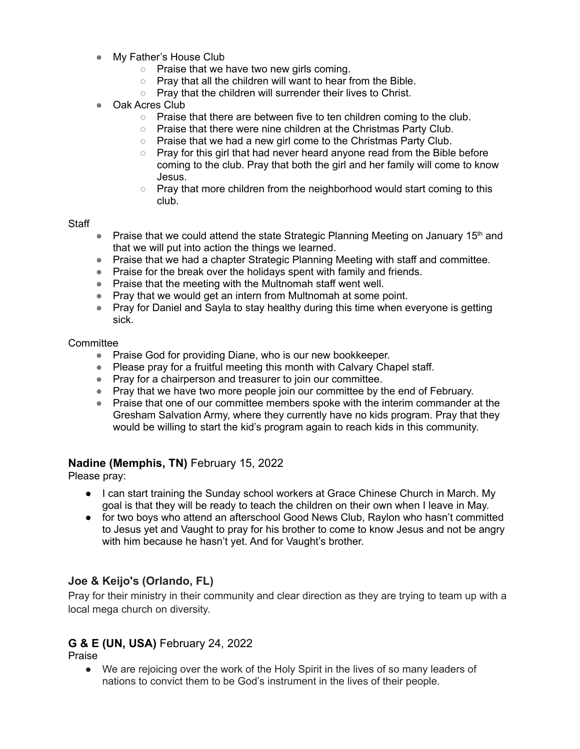- My Father's House Club
	- Praise that we have two new girls coming.
	- Pray that all the children will want to hear from the Bible.
	- Pray that the children will surrender their lives to Christ.
- Oak Acres Club
	- $\circ$  Praise that there are between five to ten children coming to the club.
	- Praise that there were nine children at the Christmas Party Club.
	- Praise that we had a new girl come to the Christmas Party Club.
	- Pray for this girl that had never heard anyone read from the Bible before coming to the club. Pray that both the girl and her family will come to know Jesus.
	- Pray that more children from the neighborhood would start coming to this club.

#### **Staff**

- Praise that we could attend the state Strategic Planning Meeting on January 15<sup>th</sup> and that we will put into action the things we learned.
- Praise that we had a chapter Strategic Planning Meeting with staff and committee.
- Praise for the break over the holidays spent with family and friends.
- Praise that the meeting with the Multnomah staff went well.
- Pray that we would get an intern from Multnomah at some point.
- Pray for Daniel and Sayla to stay healthy during this time when everyone is getting sick.

#### **Committee**

- Praise God for providing Diane, who is our new bookkeeper.
- Please pray for a fruitful meeting this month with Calvary Chapel staff.
- Pray for a chairperson and treasurer to join our committee.
- Pray that we have two more people join our committee by the end of February.
- Praise that one of our committee members spoke with the interim commander at the Gresham Salvation Army, where they currently have no kids program. Pray that they would be willing to start the kid's program again to reach kids in this community.

#### **Nadine (Memphis, TN)** February 15, 2022

Please pray:

- I can start training the Sunday school workers at Grace Chinese Church in March. My goal is that they will be ready to teach the children on their own when I leave in May.
- for two boys who attend an afterschool Good News Club, Raylon who hasn't committed to Jesus yet and Vaught to pray for his brother to come to know Jesus and not be angry with him because he hasn't yet. And for Vaught's brother.

### **Joe & Keijo's (Orlando, FL)**

Pray for their ministry in their community and clear direction as they are trying to team up with a local mega church on diversity.

### **G & E (UN, USA)** February 24, 2022

Praise

● We are rejoicing over the work of the Holy Spirit in the lives of so many leaders of nations to convict them to be God's instrument in the lives of their people.